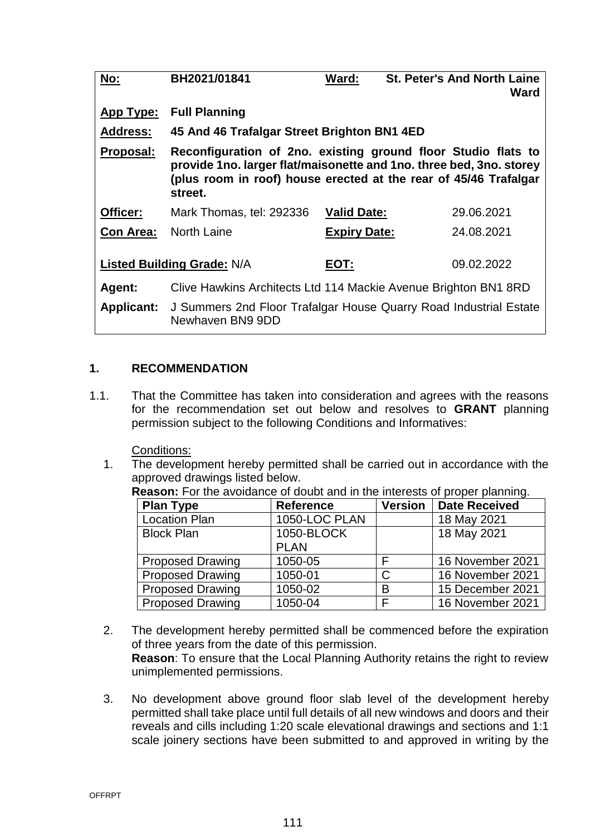| No:                               | BH2021/01841                                                                                                                                                                                                        | Ward:               | <b>St. Peter's And North Laine</b><br>Ward |  |  |
|-----------------------------------|---------------------------------------------------------------------------------------------------------------------------------------------------------------------------------------------------------------------|---------------------|--------------------------------------------|--|--|
| App Type:                         | <b>Full Planning</b>                                                                                                                                                                                                |                     |                                            |  |  |
| <b>Address:</b>                   | 45 And 46 Trafalgar Street Brighton BN1 4ED                                                                                                                                                                         |                     |                                            |  |  |
| Proposal:                         | Reconfiguration of 2no. existing ground floor Studio flats to<br>provide 1no. larger flat/maisonette and 1no. three bed, 3no. storey<br>(plus room in roof) house erected at the rear of 45/46 Trafalgar<br>street. |                     |                                            |  |  |
| Officer:                          | Mark Thomas, tel: 292336                                                                                                                                                                                            | <b>Valid Date:</b>  | 29.06.2021                                 |  |  |
| <b>Con Area:</b>                  | North Laine                                                                                                                                                                                                         | <b>Expiry Date:</b> | 24.08.2021                                 |  |  |
| <b>Listed Building Grade: N/A</b> |                                                                                                                                                                                                                     | EOT:                | 09.02.2022                                 |  |  |
| Agent:                            | Clive Hawkins Architects Ltd 114 Mackie Avenue Brighton BN1 8RD                                                                                                                                                     |                     |                                            |  |  |
| <b>Applicant:</b>                 | J Summers 2nd Floor Trafalgar House Quarry Road Industrial Estate<br>Newhaven BN9 9DD                                                                                                                               |                     |                                            |  |  |

## **1. RECOMMENDATION**

1.1. That the Committee has taken into consideration and agrees with the reasons for the recommendation set out below and resolves to **GRANT** planning permission subject to the following Conditions and Informatives:

Conditions:

1. The development hereby permitted shall be carried out in accordance with the approved drawings listed below.

| <b>Plan Type</b>        | <b>Reference</b> | <b>Version</b> | <b>Date Received</b> |
|-------------------------|------------------|----------------|----------------------|
| <b>Location Plan</b>    | 1050-LOC PLAN    |                | 18 May 2021          |
| <b>Block Plan</b>       | 1050-BLOCK       |                | 18 May 2021          |
|                         | <b>PLAN</b>      |                |                      |
| <b>Proposed Drawing</b> | 1050-05          |                | 16 November 2021     |
| <b>Proposed Drawing</b> | 1050-01          | C              | 16 November 2021     |
| <b>Proposed Drawing</b> | 1050-02          | B              | 15 December 2021     |
| <b>Proposed Drawing</b> | 1050-04          |                | 16 November 2021     |

**Reason:** For the avoidance of doubt and in the interests of proper planning.

- 2. The development hereby permitted shall be commenced before the expiration of three years from the date of this permission. **Reason**: To ensure that the Local Planning Authority retains the right to review unimplemented permissions.
- 3. No development above ground floor slab level of the development hereby permitted shall take place until full details of all new windows and doors and their reveals and cills including 1:20 scale elevational drawings and sections and 1:1 scale joinery sections have been submitted to and approved in writing by the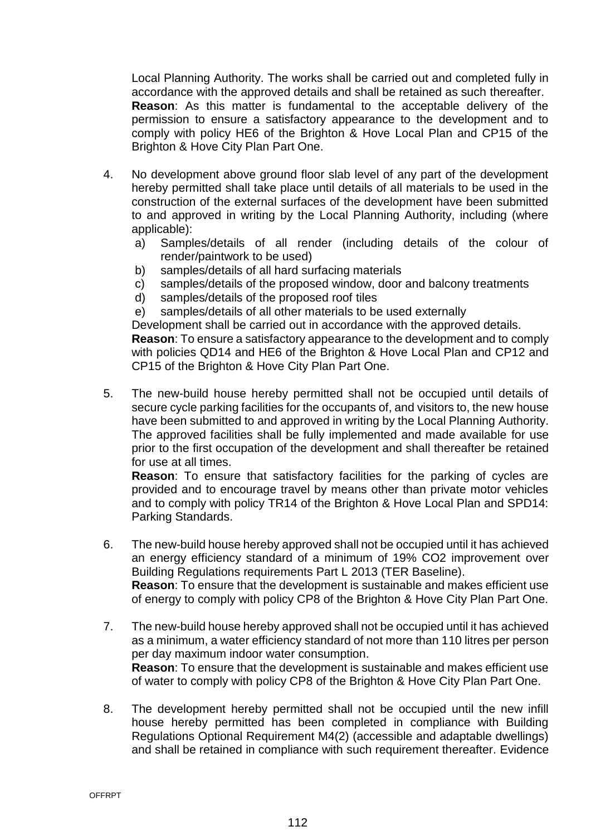Local Planning Authority. The works shall be carried out and completed fully in accordance with the approved details and shall be retained as such thereafter. **Reason**: As this matter is fundamental to the acceptable delivery of the permission to ensure a satisfactory appearance to the development and to comply with policy HE6 of the Brighton & Hove Local Plan and CP15 of the Brighton & Hove City Plan Part One.

- 4. No development above ground floor slab level of any part of the development hereby permitted shall take place until details of all materials to be used in the construction of the external surfaces of the development have been submitted to and approved in writing by the Local Planning Authority, including (where applicable):
	- a) Samples/details of all render (including details of the colour of render/paintwork to be used)
	- b) samples/details of all hard surfacing materials
	- c) samples/details of the proposed window, door and balcony treatments
	- d) samples/details of the proposed roof tiles
	- e) samples/details of all other materials to be used externally

Development shall be carried out in accordance with the approved details.

**Reason**: To ensure a satisfactory appearance to the development and to comply with policies QD14 and HE6 of the Brighton & Hove Local Plan and CP12 and CP15 of the Brighton & Hove City Plan Part One.

5. The new-build house hereby permitted shall not be occupied until details of secure cycle parking facilities for the occupants of, and visitors to, the new house have been submitted to and approved in writing by the Local Planning Authority. The approved facilities shall be fully implemented and made available for use prior to the first occupation of the development and shall thereafter be retained for use at all times.

**Reason**: To ensure that satisfactory facilities for the parking of cycles are provided and to encourage travel by means other than private motor vehicles and to comply with policy TR14 of the Brighton & Hove Local Plan and SPD14: Parking Standards.

- 6. The new-build house hereby approved shall not be occupied until it has achieved an energy efficiency standard of a minimum of 19% CO2 improvement over Building Regulations requirements Part L 2013 (TER Baseline). **Reason**: To ensure that the development is sustainable and makes efficient use of energy to comply with policy CP8 of the Brighton & Hove City Plan Part One.
- 7. The new-build house hereby approved shall not be occupied until it has achieved as a minimum, a water efficiency standard of not more than 110 litres per person per day maximum indoor water consumption. **Reason**: To ensure that the development is sustainable and makes efficient use of water to comply with policy CP8 of the Brighton & Hove City Plan Part One.
- 8. The development hereby permitted shall not be occupied until the new infill house hereby permitted has been completed in compliance with Building Regulations Optional Requirement M4(2) (accessible and adaptable dwellings) and shall be retained in compliance with such requirement thereafter. Evidence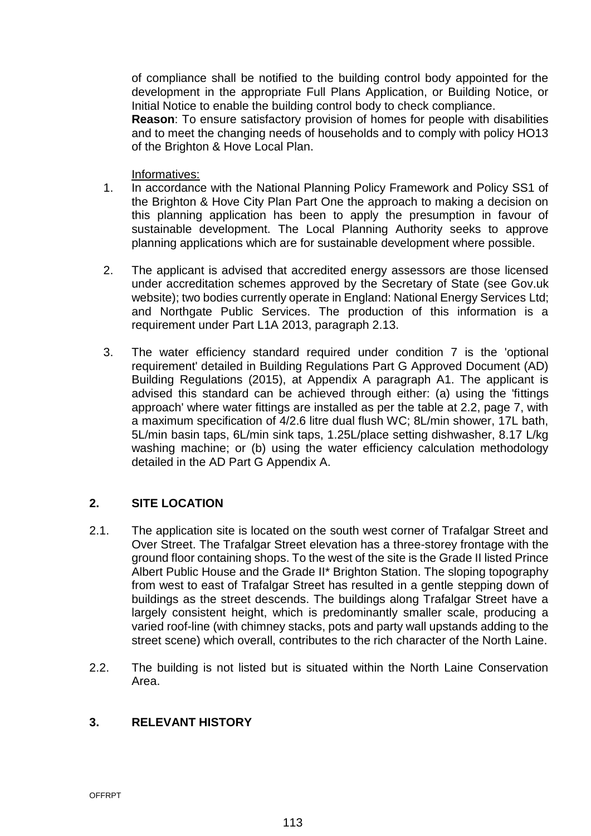of compliance shall be notified to the building control body appointed for the development in the appropriate Full Plans Application, or Building Notice, or Initial Notice to enable the building control body to check compliance.

**Reason**: To ensure satisfactory provision of homes for people with disabilities and to meet the changing needs of households and to comply with policy HO13 of the Brighton & Hove Local Plan.

#### Informatives:

- 1. In accordance with the National Planning Policy Framework and Policy SS1 of the Brighton & Hove City Plan Part One the approach to making a decision on this planning application has been to apply the presumption in favour of sustainable development. The Local Planning Authority seeks to approve planning applications which are for sustainable development where possible.
- 2. The applicant is advised that accredited energy assessors are those licensed under accreditation schemes approved by the Secretary of State (see Gov.uk website); two bodies currently operate in England: National Energy Services Ltd; and Northgate Public Services. The production of this information is a requirement under Part L1A 2013, paragraph 2.13.
- 3. The water efficiency standard required under condition 7 is the 'optional requirement' detailed in Building Regulations Part G Approved Document (AD) Building Regulations (2015), at Appendix A paragraph A1. The applicant is advised this standard can be achieved through either: (a) using the 'fittings approach' where water fittings are installed as per the table at 2.2, page 7, with a maximum specification of 4/2.6 litre dual flush WC; 8L/min shower, 17L bath, 5L/min basin taps, 6L/min sink taps, 1.25L/place setting dishwasher, 8.17 L/kg washing machine; or (b) using the water efficiency calculation methodology detailed in the AD Part G Appendix A.

# **2. SITE LOCATION**

- 2.1. The application site is located on the south west corner of Trafalgar Street and Over Street. The Trafalgar Street elevation has a three-storey frontage with the ground floor containing shops. To the west of the site is the Grade II listed Prince Albert Public House and the Grade II\* Brighton Station. The sloping topography from west to east of Trafalgar Street has resulted in a gentle stepping down of buildings as the street descends. The buildings along Trafalgar Street have a largely consistent height, which is predominantly smaller scale, producing a varied roof-line (with chimney stacks, pots and party wall upstands adding to the street scene) which overall, contributes to the rich character of the North Laine.
- 2.2. The building is not listed but is situated within the North Laine Conservation Area.

## **3. RELEVANT HISTORY**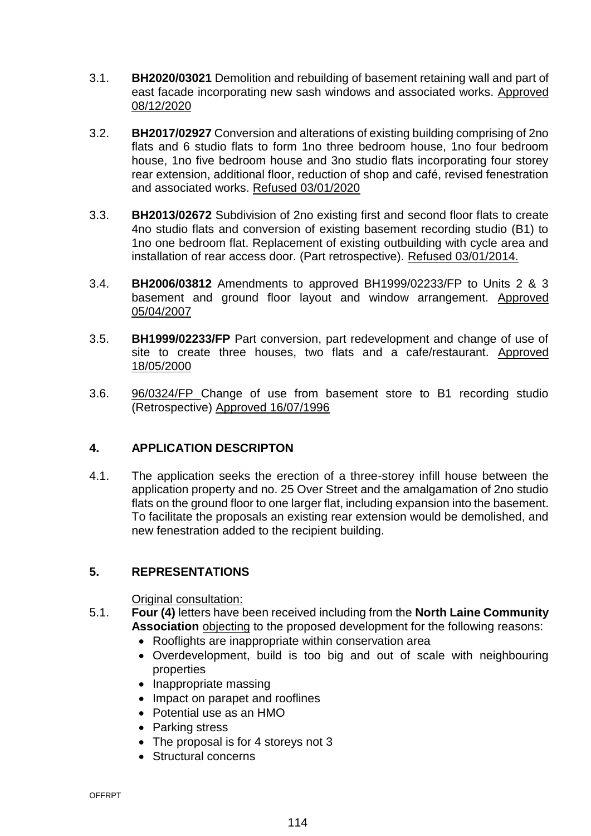- 3.1. **BH2020/03021** Demolition and rebuilding of basement retaining wall and part of east facade incorporating new sash windows and associated works. Approved 08/12/2020
- 3.2. **BH2017/02927** Conversion and alterations of existing building comprising of 2no flats and 6 studio flats to form 1no three bedroom house, 1no four bedroom house, 1no five bedroom house and 3no studio flats incorporating four storey rear extension, additional floor, reduction of shop and café, revised fenestration and associated works. Refused 03/01/2020
- 3.3. **BH2013/02672** Subdivision of 2no existing first and second floor flats to create 4no studio flats and conversion of existing basement recording studio (B1) to 1no one bedroom flat. Replacement of existing outbuilding with cycle area and installation of rear access door. (Part retrospective). Refused 03/01/2014.
- 3.4. **BH2006/03812** Amendments to approved BH1999/02233/FP to Units 2 & 3 basement and ground floor layout and window arrangement. Approved 05/04/2007
- 3.5. **BH1999/02233/FP** Part conversion, part redevelopment and change of use of site to create three houses, two flats and a cafe/restaurant. Approved 18/05/2000
- 3.6. 96/0324/FP Change of use from basement store to B1 recording studio (Retrospective) Approved 16/07/1996

# **4. APPLICATION DESCRIPTON**

4.1. The application seeks the erection of a three-storey infill house between the application property and no. 25 Over Street and the amalgamation of 2no studio flats on the ground floor to one larger flat, including expansion into the basement. To facilitate the proposals an existing rear extension would be demolished, and new fenestration added to the recipient building.

# **5. REPRESENTATIONS**

Original consultation:

- 5.1. **Four (4)** letters have been received including from the **North Laine Community Association** objecting to the proposed development for the following reasons:
	- Rooflights are inappropriate within conservation area
	- Overdevelopment, build is too big and out of scale with neighbouring properties
	- Inappropriate massing
	- Impact on parapet and rooflines
	- Potential use as an HMO
	- Parking stress
	- The proposal is for 4 storeys not 3
	- Structural concerns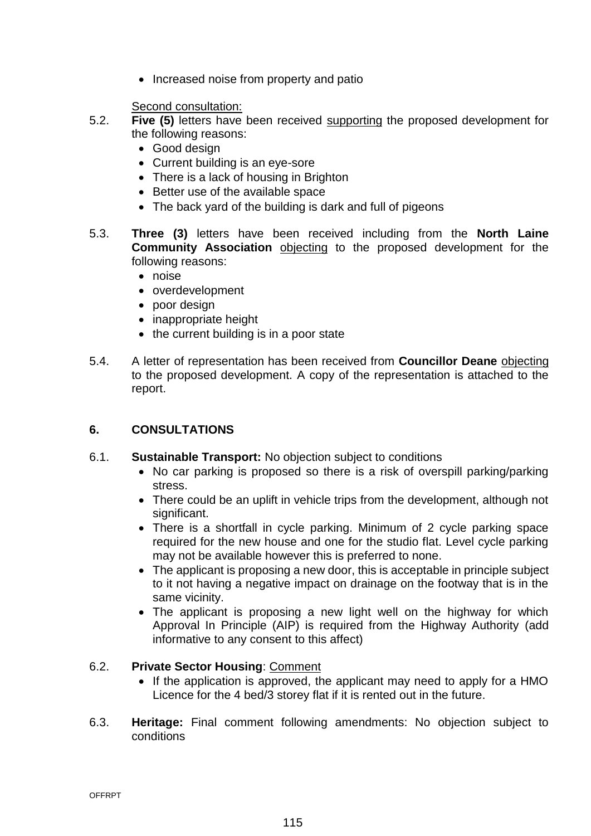• Increased noise from property and patio

Second consultation:

- 5.2. **Five (5)** letters have been received supporting the proposed development for the following reasons:
	- Good design
	- Current building is an eye-sore
	- There is a lack of housing in Brighton
	- Better use of the available space
	- The back yard of the building is dark and full of pigeons
- 5.3. **Three (3)** letters have been received including from the **North Laine Community Association** objecting to the proposed development for the following reasons:
	- noise
	- overdevelopment
	- poor design
	- inappropriate height
	- $\bullet$  the current building is in a poor state
- 5.4. A letter of representation has been received from **Councillor Deane** objecting to the proposed development. A copy of the representation is attached to the report.

# **6. CONSULTATIONS**

- 6.1. **Sustainable Transport:** No objection subject to conditions
	- No car parking is proposed so there is a risk of overspill parking/parking stress.
	- There could be an uplift in vehicle trips from the development, although not significant.
	- There is a shortfall in cycle parking. Minimum of 2 cycle parking space required for the new house and one for the studio flat. Level cycle parking may not be available however this is preferred to none.
	- The applicant is proposing a new door, this is acceptable in principle subject to it not having a negative impact on drainage on the footway that is in the same vicinity.
	- The applicant is proposing a new light well on the highway for which Approval In Principle (AIP) is required from the Highway Authority (add informative to any consent to this affect)

# 6.2. **Private Sector Housing**: Comment

- If the application is approved, the applicant may need to apply for a HMO Licence for the 4 bed/3 storey flat if it is rented out in the future.
- 6.3. **Heritage:** Final comment following amendments: No objection subject to conditions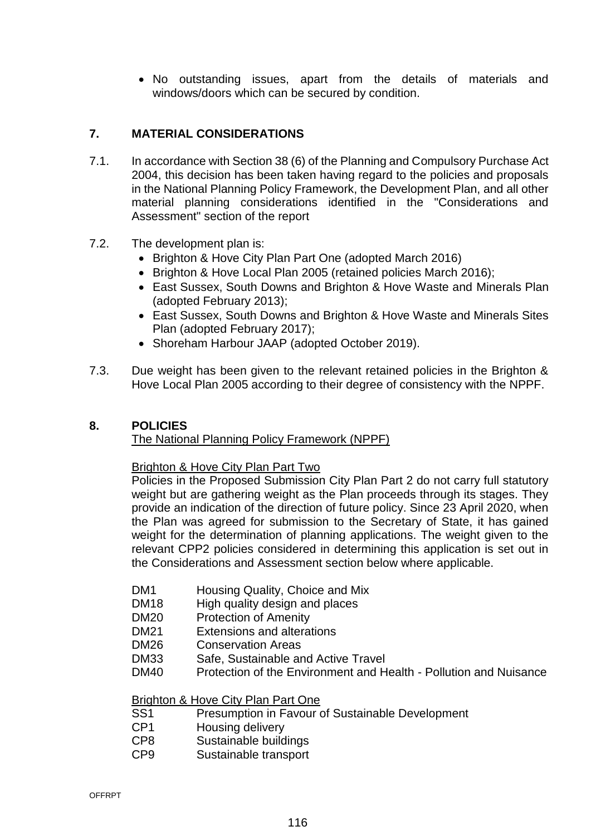No outstanding issues, apart from the details of materials and windows/doors which can be secured by condition.

## **7. MATERIAL CONSIDERATIONS**

- 7.1. In accordance with Section 38 (6) of the Planning and Compulsory Purchase Act 2004, this decision has been taken having regard to the policies and proposals in the National Planning Policy Framework, the Development Plan, and all other material planning considerations identified in the "Considerations and Assessment" section of the report
- 7.2. The development plan is:
	- Brighton & Hove City Plan Part One (adopted March 2016)
	- Brighton & Hove Local Plan 2005 (retained policies March 2016);
	- East Sussex, South Downs and Brighton & Hove Waste and Minerals Plan (adopted February 2013);
	- East Sussex, South Downs and Brighton & Hove Waste and Minerals Sites Plan (adopted February 2017);
	- Shoreham Harbour JAAP (adopted October 2019).
- 7.3. Due weight has been given to the relevant retained policies in the Brighton & Hove Local Plan 2005 according to their degree of consistency with the NPPF.

## **8. POLICIES**

## The National Planning Policy Framework (NPPF)

#### Brighton & Hove City Plan Part Two

Policies in the Proposed Submission City Plan Part 2 do not carry full statutory weight but are gathering weight as the Plan proceeds through its stages. They provide an indication of the direction of future policy. Since 23 April 2020, when the Plan was agreed for submission to the Secretary of State, it has gained weight for the determination of planning applications. The weight given to the relevant CPP2 policies considered in determining this application is set out in the Considerations and Assessment section below where applicable.

- DM1 Housing Quality, Choice and Mix
- DM18 High quality design and places
- DM20 Protection of Amenity
- DM21 Extensions and alterations
- DM26 Conservation Areas
- DM33 Safe, Sustainable and Active Travel
- DM40 Protection of the Environment and Health Pollution and Nuisance

### Brighton & Hove City Plan Part One

- SS1 Presumption in Favour of Sustainable Development
- CP1 Housing delivery
- CP8 Sustainable buildings
- CP9 Sustainable transport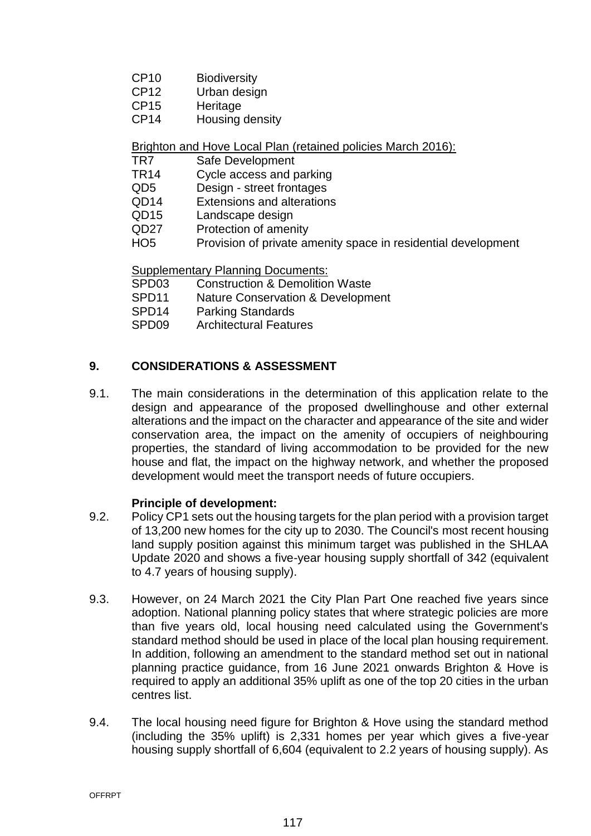- CP10 Biodiversity
- CP12 Urban design
- CP15 Heritage
- CP14 Housing density

Brighton and Hove Local Plan (retained policies March 2016):

- TR7 Safe Development
- TR14 Cycle access and parking
- QD5 Design street frontages
- QD14 Extensions and alterations
- QD15 Landscape design
- QD27 Protection of amenity
- HO5 Provision of private amenity space in residential development

Supplementary Planning Documents:

- SPD03 Construction & Demolition Waste
- SPD11 Nature Conservation & Development
- SPD14 Parking Standards
- SPD09 Architectural Features

## **9. CONSIDERATIONS & ASSESSMENT**

9.1. The main considerations in the determination of this application relate to the design and appearance of the proposed dwellinghouse and other external alterations and the impact on the character and appearance of the site and wider conservation area, the impact on the amenity of occupiers of neighbouring properties, the standard of living accommodation to be provided for the new house and flat, the impact on the highway network, and whether the proposed development would meet the transport needs of future occupiers.

## **Principle of development:**

- 9.2. Policy CP1 sets out the housing targets for the plan period with a provision target of 13,200 new homes for the city up to 2030. The Council's most recent housing land supply position against this minimum target was published in the SHLAA Update 2020 and shows a five-year housing supply shortfall of 342 (equivalent to 4.7 years of housing supply).
- 9.3. However, on 24 March 2021 the City Plan Part One reached five years since adoption. National planning policy states that where strategic policies are more than five years old, local housing need calculated using the Government's standard method should be used in place of the local plan housing requirement. In addition, following an amendment to the standard method set out in national planning practice guidance, from 16 June 2021 onwards Brighton & Hove is required to apply an additional 35% uplift as one of the top 20 cities in the urban centres list.
- 9.4. The local housing need figure for Brighton & Hove using the standard method (including the 35% uplift) is 2,331 homes per year which gives a five-year housing supply shortfall of 6,604 (equivalent to 2.2 years of housing supply). As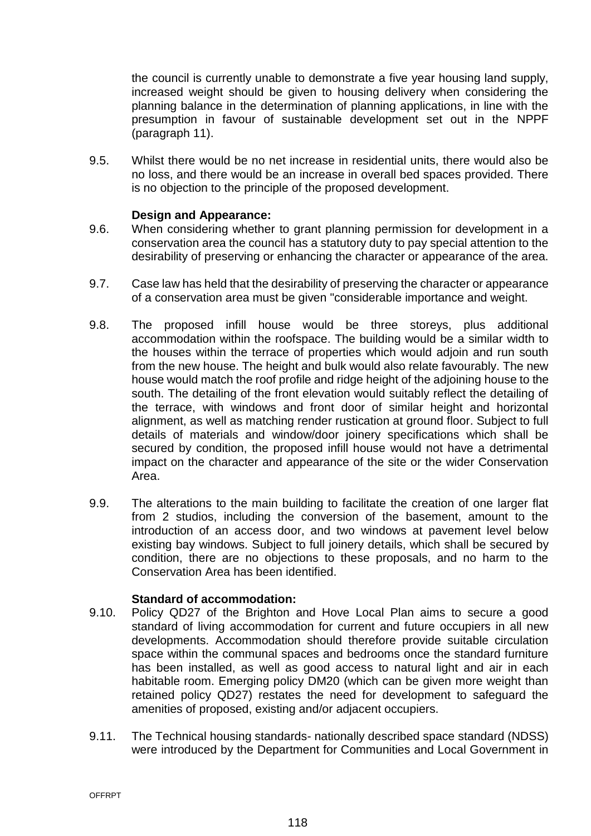the council is currently unable to demonstrate a five year housing land supply, increased weight should be given to housing delivery when considering the planning balance in the determination of planning applications, in line with the presumption in favour of sustainable development set out in the NPPF (paragraph 11).

9.5. Whilst there would be no net increase in residential units, there would also be no loss, and there would be an increase in overall bed spaces provided. There is no objection to the principle of the proposed development.

### **Design and Appearance:**

- 9.6. When considering whether to grant planning permission for development in a conservation area the council has a statutory duty to pay special attention to the desirability of preserving or enhancing the character or appearance of the area.
- 9.7. Case law has held that the desirability of preserving the character or appearance of a conservation area must be given "considerable importance and weight.
- 9.8. The proposed infill house would be three storeys, plus additional accommodation within the roofspace. The building would be a similar width to the houses within the terrace of properties which would adjoin and run south from the new house. The height and bulk would also relate favourably. The new house would match the roof profile and ridge height of the adjoining house to the south. The detailing of the front elevation would suitably reflect the detailing of the terrace, with windows and front door of similar height and horizontal alignment, as well as matching render rustication at ground floor. Subject to full details of materials and window/door joinery specifications which shall be secured by condition, the proposed infill house would not have a detrimental impact on the character and appearance of the site or the wider Conservation Area.
- 9.9. The alterations to the main building to facilitate the creation of one larger flat from 2 studios, including the conversion of the basement, amount to the introduction of an access door, and two windows at pavement level below existing bay windows. Subject to full joinery details, which shall be secured by condition, there are no objections to these proposals, and no harm to the Conservation Area has been identified.

#### **Standard of accommodation:**

- 9.10. Policy QD27 of the Brighton and Hove Local Plan aims to secure a good standard of living accommodation for current and future occupiers in all new developments. Accommodation should therefore provide suitable circulation space within the communal spaces and bedrooms once the standard furniture has been installed, as well as good access to natural light and air in each habitable room. Emerging policy DM20 (which can be given more weight than retained policy QD27) restates the need for development to safeguard the amenities of proposed, existing and/or adjacent occupiers.
- 9.11. The Technical housing standards- nationally described space standard (NDSS) were introduced by the Department for Communities and Local Government in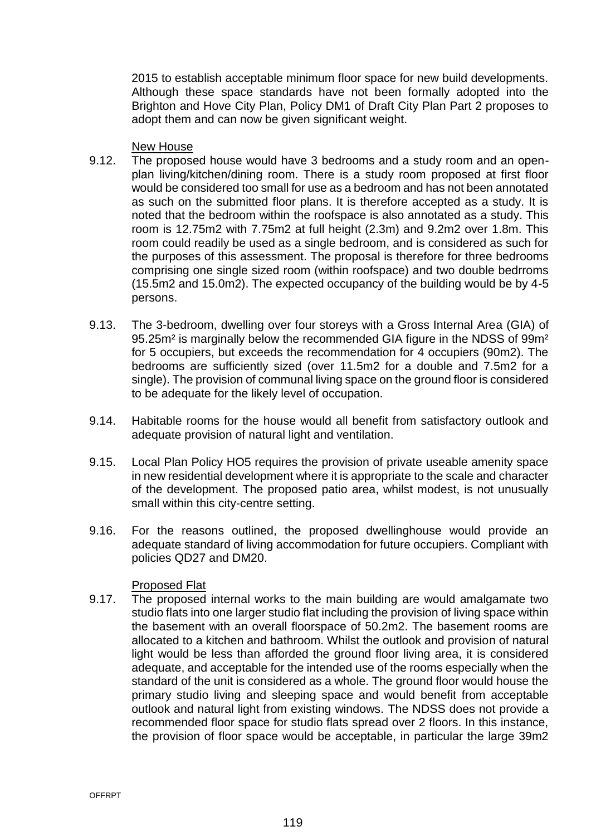2015 to establish acceptable minimum floor space for new build developments. Although these space standards have not been formally adopted into the Brighton and Hove City Plan, Policy DM1 of Draft City Plan Part 2 proposes to adopt them and can now be given significant weight.

#### New House

- 9.12. The proposed house would have 3 bedrooms and a study room and an openplan living/kitchen/dining room. There is a study room proposed at first floor would be considered too small for use as a bedroom and has not been annotated as such on the submitted floor plans. It is therefore accepted as a study. It is noted that the bedroom within the roofspace is also annotated as a study. This room is 12.75m2 with 7.75m2 at full height (2.3m) and 9.2m2 over 1.8m. This room could readily be used as a single bedroom, and is considered as such for the purposes of this assessment. The proposal is therefore for three bedrooms comprising one single sized room (within roofspace) and two double bedrroms (15.5m2 and 15.0m2). The expected occupancy of the building would be by 4-5 persons.
- 9.13. The 3-bedroom, dwelling over four storeys with a Gross Internal Area (GIA) of 95.25m² is marginally below the recommended GIA figure in the NDSS of 99m² for 5 occupiers, but exceeds the recommendation for 4 occupiers (90m2). The bedrooms are sufficiently sized (over 11.5m2 for a double and 7.5m2 for a single). The provision of communal living space on the ground floor is considered to be adequate for the likely level of occupation.
- 9.14. Habitable rooms for the house would all benefit from satisfactory outlook and adequate provision of natural light and ventilation.
- 9.15. Local Plan Policy HO5 requires the provision of private useable amenity space in new residential development where it is appropriate to the scale and character of the development. The proposed patio area, whilst modest, is not unusually small within this city-centre setting.
- 9.16. For the reasons outlined, the proposed dwellinghouse would provide an adequate standard of living accommodation for future occupiers. Compliant with policies QD27 and DM20.

## Proposed Flat

9.17. The proposed internal works to the main building are would amalgamate two studio flats into one larger studio flat including the provision of living space within the basement with an overall floorspace of 50.2m2. The basement rooms are allocated to a kitchen and bathroom. Whilst the outlook and provision of natural light would be less than afforded the ground floor living area, it is considered adequate, and acceptable for the intended use of the rooms especially when the standard of the unit is considered as a whole. The ground floor would house the primary studio living and sleeping space and would benefit from acceptable outlook and natural light from existing windows. The NDSS does not provide a recommended floor space for studio flats spread over 2 floors. In this instance, the provision of floor space would be acceptable, in particular the large 39m2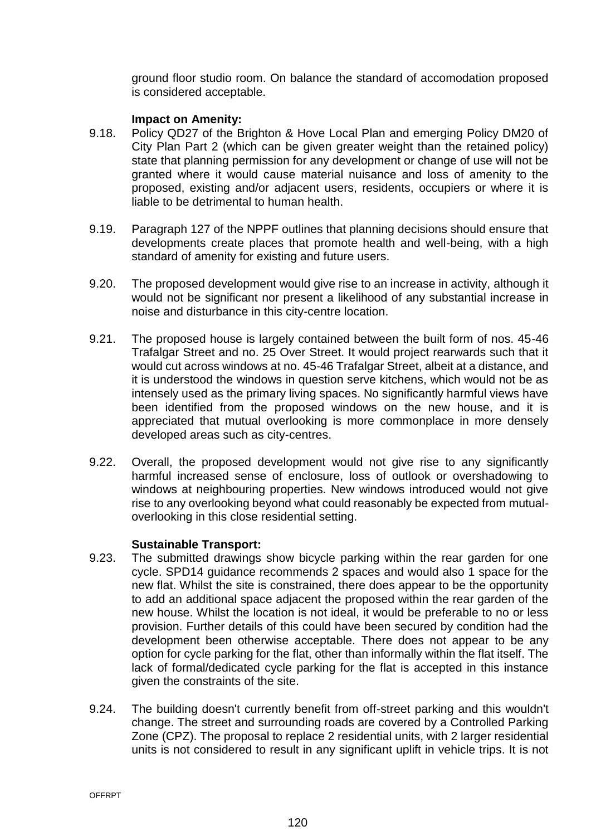ground floor studio room. On balance the standard of accomodation proposed is considered acceptable.

### **Impact on Amenity:**

- 9.18. Policy QD27 of the Brighton & Hove Local Plan and emerging Policy DM20 of City Plan Part 2 (which can be given greater weight than the retained policy) state that planning permission for any development or change of use will not be granted where it would cause material nuisance and loss of amenity to the proposed, existing and/or adjacent users, residents, occupiers or where it is liable to be detrimental to human health.
- 9.19. Paragraph 127 of the NPPF outlines that planning decisions should ensure that developments create places that promote health and well-being, with a high standard of amenity for existing and future users.
- 9.20. The proposed development would give rise to an increase in activity, although it would not be significant nor present a likelihood of any substantial increase in noise and disturbance in this city-centre location.
- 9.21. The proposed house is largely contained between the built form of nos. 45-46 Trafalgar Street and no. 25 Over Street. It would project rearwards such that it would cut across windows at no. 45-46 Trafalgar Street, albeit at a distance, and it is understood the windows in question serve kitchens, which would not be as intensely used as the primary living spaces. No significantly harmful views have been identified from the proposed windows on the new house, and it is appreciated that mutual overlooking is more commonplace in more densely developed areas such as city-centres.
- 9.22. Overall, the proposed development would not give rise to any significantly harmful increased sense of enclosure, loss of outlook or overshadowing to windows at neighbouring properties. New windows introduced would not give rise to any overlooking beyond what could reasonably be expected from mutualoverlooking in this close residential setting.

#### **Sustainable Transport:**

- 9.23. The submitted drawings show bicycle parking within the rear garden for one cycle. SPD14 guidance recommends 2 spaces and would also 1 space for the new flat. Whilst the site is constrained, there does appear to be the opportunity to add an additional space adjacent the proposed within the rear garden of the new house. Whilst the location is not ideal, it would be preferable to no or less provision. Further details of this could have been secured by condition had the development been otherwise acceptable. There does not appear to be any option for cycle parking for the flat, other than informally within the flat itself. The lack of formal/dedicated cycle parking for the flat is accepted in this instance given the constraints of the site.
- 9.24. The building doesn't currently benefit from off-street parking and this wouldn't change. The street and surrounding roads are covered by a Controlled Parking Zone (CPZ). The proposal to replace 2 residential units, with 2 larger residential units is not considered to result in any significant uplift in vehicle trips. It is not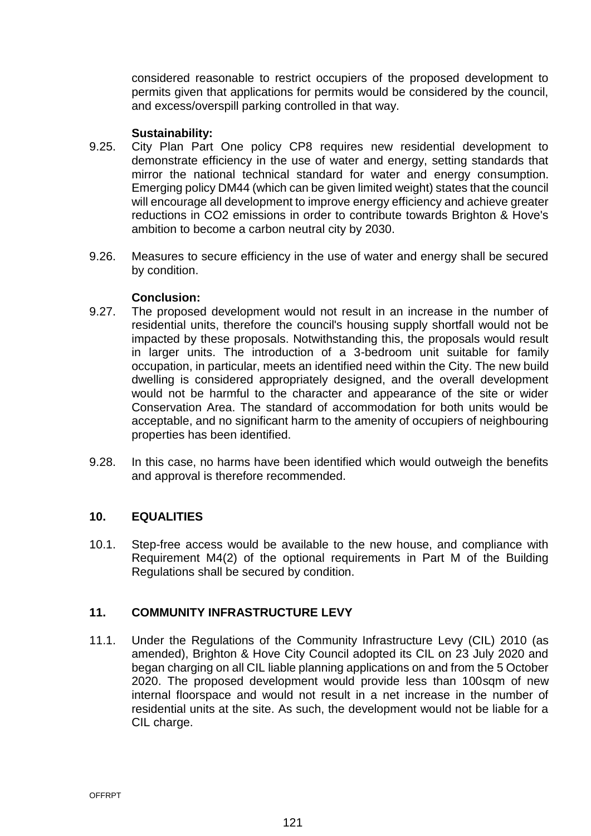considered reasonable to restrict occupiers of the proposed development to permits given that applications for permits would be considered by the council, and excess/overspill parking controlled in that way.

### **Sustainability:**

- 9.25. City Plan Part One policy CP8 requires new residential development to demonstrate efficiency in the use of water and energy, setting standards that mirror the national technical standard for water and energy consumption. Emerging policy DM44 (which can be given limited weight) states that the council will encourage all development to improve energy efficiency and achieve greater reductions in CO2 emissions in order to contribute towards Brighton & Hove's ambition to become a carbon neutral city by 2030.
- 9.26. Measures to secure efficiency in the use of water and energy shall be secured by condition.

#### **Conclusion:**

- 9.27. The proposed development would not result in an increase in the number of residential units, therefore the council's housing supply shortfall would not be impacted by these proposals. Notwithstanding this, the proposals would result in larger units. The introduction of a 3-bedroom unit suitable for family occupation, in particular, meets an identified need within the City. The new build dwelling is considered appropriately designed, and the overall development would not be harmful to the character and appearance of the site or wider Conservation Area. The standard of accommodation for both units would be acceptable, and no significant harm to the amenity of occupiers of neighbouring properties has been identified.
- 9.28. In this case, no harms have been identified which would outweigh the benefits and approval is therefore recommended.

## **10. EQUALITIES**

10.1. Step-free access would be available to the new house, and compliance with Requirement M4(2) of the optional requirements in Part M of the Building Regulations shall be secured by condition.

## **11. COMMUNITY INFRASTRUCTURE LEVY**

11.1. Under the Regulations of the Community Infrastructure Levy (CIL) 2010 (as amended), Brighton & Hove City Council adopted its CIL on 23 July 2020 and began charging on all CIL liable planning applications on and from the 5 October 2020. The proposed development would provide less than 100sqm of new internal floorspace and would not result in a net increase in the number of residential units at the site. As such, the development would not be liable for a CIL charge.